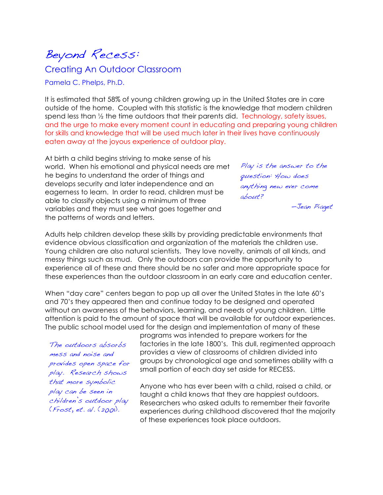Beyond Recess:

Creating An Outdoor Classroom

Pamela C. Phelps, Ph.D.

It is estimated that 58% of young children growing up in the United States are in care outside of the home. Coupled with this statistic is the knowledge that modern children spend less than  $\frac{1}{2}$  the time outdoors that their parents did. Technology, safety issues, and the urge to make every moment count in educating and preparing young children for skills and knowledge that will be used much later in their lives have continuously eaten away at the joyous experience of outdoor play.

At birth a child begins striving to make sense of his world. When his emotional and physical needs are met he begins to understand the order of things and develops security and later independence and an eagerness to learn. In order to read, children must be able to classify objects using a minimum of three variables and they must see what goes together and the patterns of words and letters.

Play is the answer to the question: How does anything new ever come about?

—Jean Piaget

Adults help children develop these skills by providing predictable environments that evidence obvious classification and organization of the materials the children use. Young children are also natural scientists. They love novelty, animals of all kinds, and messy things such as mud. Only the outdoors can provide the opportunity to experience all of these and there should be no safer and more appropriate space for these experiences than the outdoor classroom in an early care and education center.

When "day care" centers began to pop up all over the United States in the late 60's and 70's they appeared then and continue today to be designed and operated without an awareness of the behaviors, learning, and needs of young children. Little attention is paid to the amount of space that will be available for outdoor experiences. The public school model used for the design and implementation of many of these

The outdoors absorbs mess and noise and provides open space for play. Research shows that more symbolic play can be seen in children's outdoor play (Frost, et. al. (2001).

programs was intended to prepare workers for the factories in the late 1800's. This dull, regimented approach provides a view of classrooms of children divided into groups by chronological age and sometimes ability with a small portion of each day set aside for RECESS.

Anyone who has ever been with a child, raised a child, or taught a child knows that they are happiest outdoors. Researchers who asked adults to remember their favorite experiences during childhood discovered that the majority of these experiences took place outdoors.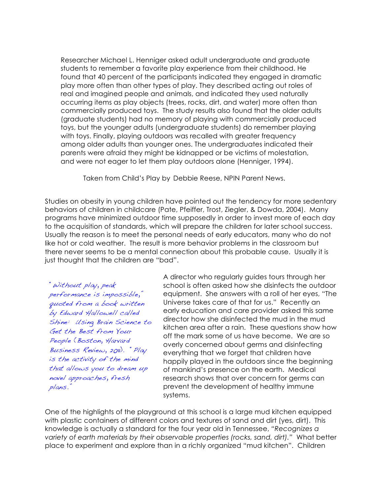Researcher Michael L. Henniger asked adult undergraduate and graduate students to remember a favorite play experience from their childhood. He found that 40 percent of the participants indicated they engaged in dramatic play more often than other types of play. They described acting out roles of real and imagined people and animals, and indicated they used naturally occurring items as play objects (trees, rocks, dirt, and water) more often than commercially produced toys. The study results also found that the older adults (graduate students) had no memory of playing with commercially produced toys, but the younger adults (undergraduate students) do remember playing with toys. Finally, playing outdoors was recalled with greater frequency among older adults than younger ones. The undergraduates indicated their parents were afraid they might be kidnapped or be victims of molestation, and were not eager to let them play outdoors alone (Henniger, 1994).

Taken from Child's Play by Debbie Reese, NPIN Parent News.

Studies on obesity in young children have pointed out the tendency for more sedentary behaviors of children in childcare (Pate, Pfeiffer, Trost, Ziegler, & Dowda, 2004). Many programs have minimized outdoor time supposedly in order to invest more of each day to the acquisition of standards, which will prepare the children for later school success. Usually the reason is to meet the personal needs of early educators, many who do not like hot or cold weather. The result is more behavior problems in the classroom but there never seems to be a mental connection about this probable cause. Usually it is just thought that the children are "bad".

"Without play, peak performance is impossible," quoted from a book written by Edward Hallowell called Shine: Using Brain Science to Get the Best from Your People (Boston, Harvard Business Review, 2011). "Play is the activity of the mind that allows you to dream up novel approaches, fresh plans."

A director who regularly guides tours through her school is often asked how she disinfects the outdoor equipment. She answers with a roll of her eyes, "The Universe takes care of that for us." Recently an early education and care provider asked this same director how she disinfected the mud in the mud kitchen area after a rain. These questions show how off the mark some of us have become. We are so overly concerned about germs and disinfecting everything that we forget that children have happily played in the outdoors since the beginning of mankind's presence on the earth. Medical research shows that over concern for germs can prevent the development of healthy immune systems.

One of the highlights of the playground at this school is a large mud kitchen equipped with plastic containers of different colors and textures of sand and dirt (yes, dirt). This knowledge is actually a standard for the four year old in Tennessee, *"Recognizes a variety of earth materials by their observable properties (rocks, sand, dirt)."* What better place to experiment and explore than in a richly organized "mud kitchen". Children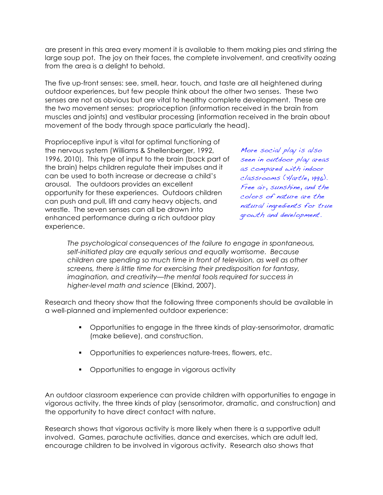are present in this area every moment it is available to them making pies and stirring the large soup pot. The joy on their faces, the complete involvement, and creativity oozing from the area is a delight to behold.

The five up-front senses: see, smell, hear, touch, and taste are all heightened during outdoor experiences, but few people think about the other two senses. These two senses are not as obvious but are vital to healthy complete development. These are the two movement senses: proprioception (information received in the brain from muscles and joints) and vestibular processing (information received in the brain about movement of the body through space particularly the head).

Proprioceptive input is vital for optimal functioning of the nervous system (Williams & Shellenberger, 1992, 1996, 2010). This type of input to the brain (back part of the brain) helps children regulate their impulses and it can be used to both increase or decrease a child's arousal. The outdoors provides an excellent opportunity for these experiences. Outdoors children can push and pull, lift and carry heavy objects, and wrestle. The seven senses can all be drawn into enhanced performance during a rich outdoor play experience.

More social play is also seen in outdoor play areas as compared with indoor classrooms (Hartle, 1996). Free air, sunshine, and the colors of nature are the natural ingredients for true growth and development.

*The psychological consequences of the failure to engage in spontaneous, self-initiated play are equally serious and equally worrisome. Because children are spending so much time in front of television, as well as other screens, there is little time for exercising their predisposition for fantasy, imagination, and creativity—the mental tools required for success in higher-level math and science* (Elkind, 2007).

Research and theory show that the following three components should be available in a well-planned and implemented outdoor experience:

- Opportunities to engage in the three kinds of play-sensorimotor, dramatic (make believe), and construction.
- Opportunities to experiences nature-trees, flowers, etc.
- **•** Opportunities to engage in vigorous activity

An outdoor classroom experience can provide children with opportunities to engage in vigorous activity, the three kinds of play (sensorimotor, dramatic, and construction) and the opportunity to have direct contact with nature.

Research shows that vigorous activity is more likely when there is a supportive adult involved. Games, parachute activities, dance and exercises, which are adult led, encourage children to be involved in vigorous activity. Research also shows that